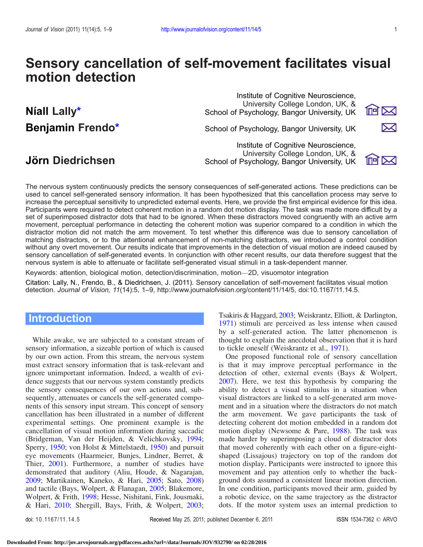# Sensory cancellation of self-movement facilitates visual motion detection

Institute of Cognitive Neuroscience, University College London, UK, & Níall Lall[y\\*](#page-7-0) School of Psychology, Bangor University, UK

**Benjamin Frendo[\\*](#page-7-0)** School of Psychology, Bangor University, UK



 $104 \times$ 

Institute of Cognitive Neuroscience, University College London, UK, & **Jörn Diedrichsen** School of Psychology, Bangor University, UK



The nervous system continuously predicts the sensory consequences of self-generated actions. These predictions can be used to cancel self-generated sensory information. It has been hypothesized that this cancellation process may serve to increase the perceptual sensitivity to unpredicted external events. Here, we provide the first empirical evidence for this idea. Participants were required to detect coherent motion in a random dot motion display. The task was made more difficult by a set of superimposed distractor dots that had to be ignored. When these distractors moved congruently with an active arm movement, perceptual performance in detecting the coherent motion was superior compared to a condition in which the distractor motion did not match the arm movement. To test whether this difference was due to sensory cancellation of matching distractors, or to the attentional enhancement of non-matching distractors, we introduced a control condition without any overt movement. Our results indicate that improvements in the detection of visual motion are indeed caused by sensory cancellation of self-generated events. In conjunction with other recent results, our data therefore suggest that the nervous system is able to attenuate or facilitate self-generated visual stimuli in a task-dependent manner.

Keywords: attention, biological motion, detection/discrimination, motion-2D, visuomotor integration

Citation: Lally, N., Frendo, B., & Diedrichsen, J. (2011). Sensory cancellation of self-movement facilitates visual motion detection. Journal of Vision, 11(14):5, 1–9, http://www.journalofvision.org/content/11/14/5, doi:10.1167/11.14.5.

# **Introduction**

While awake, we are subjected to a constant stream of sensory information, a sizeable portion of which is caused by our own action. From this stream, the nervous system must extract sensory information that is task-relevant and ignore unimportant information. Indeed, a wealth of evidence suggests that our nervous system constantly predicts the sensory consequences of our own actions and, subsequently, attenuates or cancels the self-generated components of this sensory input stream. This concept of sensory cancellation has been illustrated in a number of different experimental settings. One prominent example is the cancellation of visual motion information during saccadic (Bridgeman, Van der Heijden, & Velichkovsky, [1994](#page-7-0); Sperry, [1950;](#page-8-0) von Holst & Mittelstaedt, [1950\)](#page-8-0) and pursuit eye movements (Haarmeier, Bunjes, Lindner, Berret, & Thier, [2001](#page-8-0)). Furthermore, a number of studies have demonstrated that auditory (Aliu, Houde, & Nagarajan, [2009;](#page-7-0) Martikainen, Kaneko, & Hari, [2005;](#page-8-0) Sato, [2008\)](#page-8-0) and tactile (Bays, Wolpert, & Flanagan, [2005](#page-7-0); Blakemore, Wolpert, & Frith, [1998](#page-7-0); Hesse, Nishitani, Fink, Jousmaki, & Hari, [2010;](#page-8-0) Shergill, Bays, Frith, & Wolpert, [2003](#page-8-0);

Tsakiris & Haggard, [2003](#page-8-0); Weiskrantz, Elliott, & Darlington, [1971\)](#page-8-0) stimuli are perceived as less intense when caused by a self-generated action. The latter phenomenon is thought to explain the anecdotal observation that it is hard to tickle oneself (Weiskrantz et al., [1971](#page-8-0)).

One proposed functional role of sensory cancellation is that it may improve perceptual performance in the detection of other, external events (Bays & Wolpert, [2007\)](#page-7-0). Here, we test this hypothesis by comparing the ability to detect a visual stimulus in a situation when visual distractors are linked to a self-generated arm movement and in a situation where the distractors do not match the arm movement. We gave participants the task of detecting coherent dot motion embedded in a random dot motion display (Newsome & Pare, [1988\)](#page-8-0). The task was made harder by superimposing a cloud of distractor dots that moved coherently with each other on a figure-eightshaped (Lissajous) trajectory on top of the random dot motion display. Participants were instructed to ignore this movement and pay attention only to whether the background dots assumed a consistent linear motion direction. In one condition, participants moved their arm, guided by a robotic device, on the same trajectory as the distractor dots. If the motor system uses an internal prediction to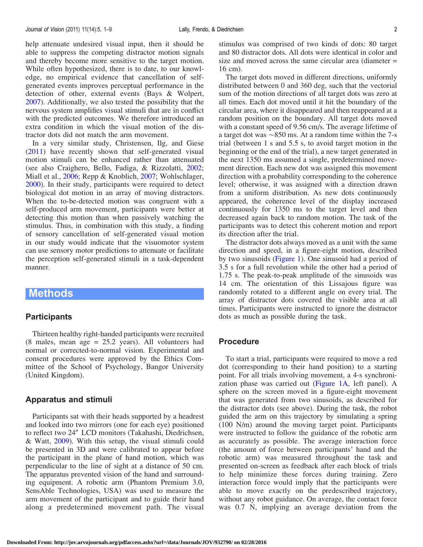<span id="page-1-0"></span>help attenuate undesired visual input, then it should be able to suppress the competing distractor motion signals and thereby become more sensitive to the target motion. While often hypothesized, there is to date, to our knowledge, no empirical evidence that cancellation of selfgenerated events improves perceptual performance in the detection of other, external events (Bays & Wolpert, [2007\)](#page-7-0). Additionally, we also tested the possibility that the nervous system amplifies visual stimuli that are in conflict with the predicted outcomes. We therefore introduced an extra condition in which the visual motion of the distractor dots did not match the arm movement.

In a very similar study, Christensen, Ilg, and Giese ([2011\)](#page-7-0) have recently shown that self-generated visual motion stimuli can be enhanced rather than attenuated (see also Craighero, Bello, Fadiga, & Rizzolatti, [2002](#page-7-0); Miall et al., [2006](#page-8-0); Repp & Knoblich, [2007](#page-8-0); Wohlschlager, [2000\)](#page-8-0). In their study, participants were required to detect biological dot motion in an array of moving distractors. When the to-be-detected motion was congruent with a self-produced arm movement, participants were better at detecting this motion than when passively watching the stimulus. Thus, in combination with this study, a finding of sensory cancellation of self-generated visual motion in our study would indicate that the visuomotor system can use sensory motor predictions to attenuate or facilitate the perception self-generated stimuli in a task-dependent manner.

# Methods

#### **Participants**

Thirteen healthy right-handed participants were recruited (8 males, mean age = 25.2 years). All volunteers had normal or corrected-to-normal vision. Experimental and consent procedures were approved by the Ethics Committee of the School of Psychology, Bangor University (United Kingdom).

#### Apparatus and stimuli

Participants sat with their heads supported by a headrest and looked into two mirrors (one for each eye) positioned to reflect two 24*W* LCD monitors (Takahashi, Diedrichsen, & Watt, [2009](#page-8-0)). With this setup, the visual stimuli could be presented in 3D and were calibrated to appear before the participant in the plane of hand motion, which was perpendicular to the line of sight at a distance of 50 cm. The apparatus prevented vision of the hand and surrounding equipment. A robotic arm (Phantom Premium 3.0, SensAble Technologies, USA) was used to measure the arm movement of the participant and to guide their hand along a predetermined movement path. The visual stimulus was comprised of two kinds of dots: 80 target and 80 distractor dots. All dots were identical in color and size and moved across the same circular area (diameter = 16 cm).

The target dots moved in different directions, uniformly distributed between 0 and 360 deg, such that the vectorial sum of the motion directions of all target dots was zero at all times. Each dot moved until it hit the boundary of the circular area, where it disappeared and then reappeared at a random position on the boundary. All target dots moved with a constant speed of 9.56 cm/s. The average lifetime of a target dot was  $\sim$ 850 ms. At a random time within the 7-s trial (between 1 s and 5.5 s, to avoid target motion in the beginning or the end of the trial), a new target generated in the next 1350 ms assumed a single, predetermined movement direction. Each new dot was assigned this movement direction with a probability corresponding to the coherence level; otherwise, it was assigned with a direction drawn from a uniform distribution. As new dots continuously appeared, the coherence level of the display increased continuously for 1350 ms to the target level and then decreased again back to random motion. The task of the participants was to detect this coherent motion and report its direction after the trial.

The distractor dots always moved as a unit with the same direction and speed, in a figure-eight motion, described by two sinusoids [\(Figure 1\)](#page-2-0). One sinusoid had a period of 3.5 s for a full revolution while the other had a period of 1.75 s. The peak-to-peak amplitude of the sinusoids was 14 cm. The orientation of this Lissajous figure was randomly rotated to a different angle on every trial. The array of distractor dots covered the visible area at all times. Participants were instructed to ignore the distractor dots as much as possible during the task.

### Procedure

To start a trial, participants were required to move a red dot (corresponding to their hand position) to a starting point. For all trials involving movement, a 4-s synchronization phase was carried out ([Figure 1A,](#page-2-0) left panel). A sphere on the screen moved in a figure-eight movement that was generated from two sinusoids, as described for the distractor dots (see above). During the task, the robot guided the arm on this trajectory by simulating a spring (100 N/m) around the moving target point. Participants were instructed to follow the guidance of the robotic arm as accurately as possible. The average interaction force (the amount of force between participants' hand and the robotic arm) was measured throughout the task and presented on-screen as feedback after each block of trials to help minimize these forces during training. Zero interaction force would imply that the participants were able to move exactly on the predescribed trajectory, without any robot guidance. On average, the contact force was 0.7 N, implying an average deviation from the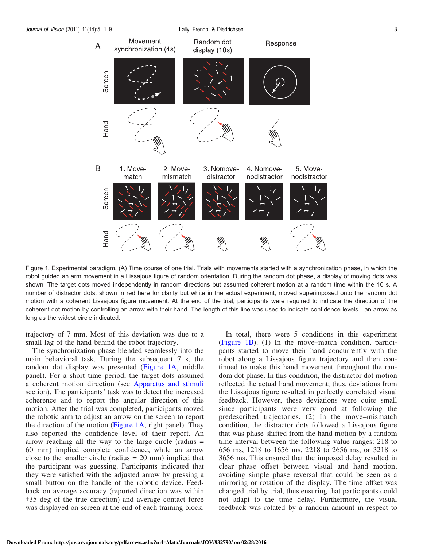<span id="page-2-0"></span>

Figure 1. Experimental paradigm. (A) Time course of one trial. Trials with movements started with a synchronization phase, in which the robot guided an arm movement in a Lissajous figure of random orientation. During the random dot phase, a display of moving dots was shown. The target dots moved independently in random directions but assumed coherent motion at a random time within the 10 s. A number of distractor dots, shown in red here for clarity but white in the actual experiment, moved superimposed onto the random dot motion with a coherent Lissajous figure movement. At the end of the trial, participants were required to indicate the direction of the coherent dot motion by controlling an arrow with their hand. The length of this line was used to indicate confidence levels—an arrow as long as the widest circle indicated.

trajectory of 7 mm. Most of this deviation was due to a small lag of the hand behind the robot trajectory.

The synchronization phase blended seamlessly into the main behavioral task. During the subsequent 7 s, the random dot display was presented (Figure 1A, middle panel). For a short time period, the target dots assumed a coherent motion direction (see [Apparatus and stimuli](#page-1-0) section). The participants' task was to detect the increased coherence and to report the angular direction of this motion. After the trial was completed, participants moved the robotic arm to adjust an arrow on the screen to report the direction of the motion (Figure 1A, right panel). They also reported the confidence level of their report. An arrow reaching all the way to the large circle (radius = 60 mm) implied complete confidence, while an arrow close to the smaller circle (radius  $= 20$  mm) implied that the participant was guessing. Participants indicated that they were satisfied with the adjusted arrow by pressing a small button on the handle of the robotic device. Feedback on average accuracy (reported direction was within  $\pm 35$  deg of the true direction) and average contact force was displayed on-screen at the end of each training block.

In total, there were 5 conditions in this experiment (Figure 1B). (1) In the move–match condition, participants started to move their hand concurrently with the robot along a Lissajous figure trajectory and then continued to make this hand movement throughout the random dot phase. In this condition, the distractor dot motion reflected the actual hand movement; thus, deviations from the Lissajous figure resulted in perfectly correlated visual feedback. However, these deviations were quite small since participants were very good at following the predescribed trajectories. (2) In the move–mismatch condition, the distractor dots followed a Lissajous figure that was phase-shifted from the hand motion by a random time interval between the following value ranges: 218 to 656 ms, 1218 to 1656 ms, 2218 to 2656 ms, or 3218 to 3656 ms. This ensured that the imposed delay resulted in clear phase offset between visual and hand motion, avoiding simple phase reversal that could be seen as a mirroring or rotation of the display. The time offset was changed trial by trial, thus ensuring that participants could not adapt to the time delay. Furthermore, the visual feedback was rotated by a random amount in respect to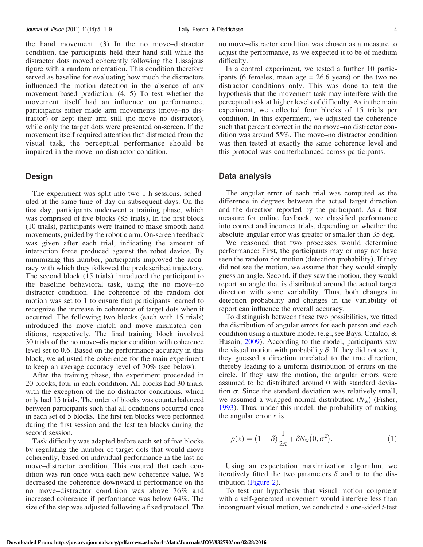the hand movement. (3) In the no move–distractor condition, the participants held their hand still while the distractor dots moved coherently following the Lissajous figure with a random orientation. This condition therefore served as baseline for evaluating how much the distractors influenced the motion detection in the absence of any movement-based prediction. (4, 5) To test whether the movement itself had an influence on performance, participants either made arm movements (move–no distractor) or kept their arm still (no move–no distractor), while only the target dots were presented on-screen. If the movement itself required attention that distracted from the visual task, the perceptual performance should be impaired in the move–no distractor condition.

### **Design**

The experiment was split into two 1-h sessions, scheduled at the same time of day on subsequent days. On the first day, participants underwent a training phase, which was comprised of five blocks (85 trials). In the first block (10 trials), participants were trained to make smooth hand movements, guided by the robotic arm. On-screen feedback was given after each trial, indicating the amount of interaction force produced against the robot device. By minimizing this number, participants improved the accuracy with which they followed the predescribed trajectory. The second block (15 trials) introduced the participant to the baseline behavioral task, using the no move–no distractor condition. The coherence of the random dot motion was set to 1 to ensure that participants learned to recognize the increase in coherence of target dots when it occurred. The following two blocks (each with 15 trials) introduced the move–match and move–mismatch conditions, respectively. The final training block involved 30 trials of the no move–distractor condition with coherence level set to 0.6. Based on the performance accuracy in this block, we adjusted the coherence for the main experiment to keep an average accuracy level of 70% (see below).

After the training phase, the experiment proceeded in 20 blocks, four in each condition. All blocks had 30 trials, with the exception of the no distractor conditions, which only had 15 trials. The order of blocks was counterbalanced between participants such that all conditions occurred once in each set of 5 blocks. The first ten blocks were performed during the first session and the last ten blocks during the second session.

Task difficulty was adapted before each set of five blocks by regulating the number of target dots that would move coherently, based on individual performance in the last no move–distractor condition. This ensured that each condition was run once with each new coherence value. We decreased the coherence downward if performance on the no move–distractor condition was above 76% and increased coherence if performance was below 64%. The size of the step was adjusted following a fixed protocol. The no move–distractor condition was chosen as a measure to adjust the performance, as we expected it to be of medium difficulty.

In a control experiment, we tested a further 10 participants (6 females, mean age  $= 26.6$  years) on the two no distractor conditions only. This was done to test the hypothesis that the movement task may interfere with the perceptual task at higher levels of difficulty. As in the main experiment, we collected four blocks of 15 trials per condition. In this experiment, we adjusted the coherence such that percent correct in the no move–no distractor condition was around 55%. The move–no distractor condition was then tested at exactly the same coherence level and this protocol was counterbalanced across participants.

#### Data analysis

The angular error of each trial was computed as the difference in degrees between the actual target direction and the direction reported by the participant. As a first measure for online feedback, we classified performance into correct and incorrect trials, depending on whether the absolute angular error was greater or smaller than 35 deg.

We reasoned that two processes would determine performance: First, the participants may or may not have seen the random dot motion (detection probability). If they did not see the motion, we assume that they would simply guess an angle. Second, if they saw the motion, they would report an angle that is distributed around the actual target direction with some variability. Thus, both changes in detection probability and changes in the variability of report can influence the overall accuracy.

To distinguish between these two possibilities, we fitted the distribution of angular errors for each person and each condition using a mixture model (e.g., see Bays, Catalao, & Husain, [2009](#page-7-0)). According to the model, participants saw the visual motion with probability  $\delta$ . If they did not see it, they guessed a direction unrelated to the true direction, thereby leading to a uniform distribution of errors on the circle. If they saw the motion, the angular errors were assumed to be distributed around 0 with standard deviation  $\sigma$ . Since the standard deviation was relatively small, we assumed a wrapped normal distribution  $(N_w)$  (Fisher, [1993\)](#page-8-0). Thus, under this model, the probability of making the angular error  $x$  is

$$
p(x) = (1 - \delta) \frac{1}{2\pi} + \delta N_{\rm w} (0, \sigma^2). \tag{1}
$$

Using an expectation maximization algorithm, we iteratively fitted the two parameters  $\delta$  and  $\sigma$  to the distribution ([Figure 2\)](#page-4-0).

To test our hypothesis that visual motion congruent with a self-generated movement would interfere less than incongruent visual motion, we conducted a one-sided t-test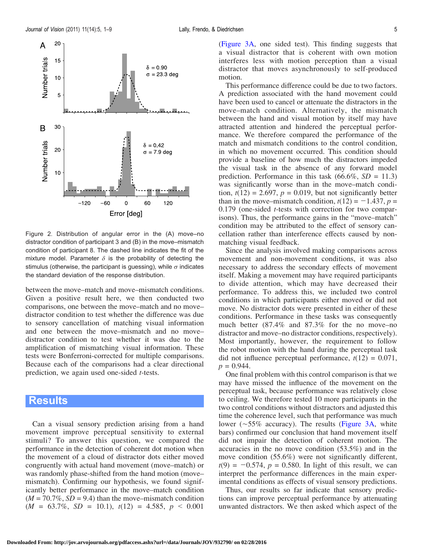<span id="page-4-0"></span>

Figure 2. Distribution of angular error in the (A) move–no distractor condition of participant 3 and (B) in the move–mismatch condition of participant 8. The dashed line indicates the fit of the mixture model. Parameter  $\delta$  is the probability of detecting the stimulus (otherwise, the participant is quessing), while  $\sigma$  indicates the standard deviation of the response distribution.

between the move–match and move–mismatch conditions. Given a positive result here, we then conducted two comparisons, one between the move–match and no move– distractor condition to test whether the difference was due to sensory cancellation of matching visual information and one between the move–mismatch and no move– distractor condition to test whether it was due to the amplification of mismatching visual information. These tests were Bonferroni-corrected for multiple comparisons. Because each of the comparisons had a clear directional prediction, we again used one-sided t-tests.

# **Results**

Can a visual sensory prediction arising from a hand movement improve perceptual sensitivity to external stimuli? To answer this question, we compared the performance in the detection of coherent dot motion when the movement of a cloud of distractor dots either moved congruently with actual hand movement (move–match) or was randomly phase-shifted from the hand motion (move– mismatch). Confirming our hypothesis, we found significantly better performance in the move–match condition  $(M = 70.7\%, SD = 9.4)$  than the move–mismatch condition  $(M = 63.7\%, SD = 10.1), t(12) = 4.585, p < 0.001$ 

[\(Figure 3A,](#page-5-0) one sided test). This finding suggests that a visual distractor that is coherent with own motion interferes less with motion perception than a visual distractor that moves asynchronously to self-produced motion.

This performance difference could be due to two factors. A prediction associated with the hand movement could have been used to cancel or attenuate the distractors in the move–match condition. Alternatively, the mismatch between the hand and visual motion by itself may have attracted attention and hindered the perceptual performance. We therefore compared the performance of the match and mismatch conditions to the control condition, in which no movement occurred. This condition should provide a baseline of how much the distractors impeded the visual task in the absence of any forward model prediction. Performance in this task  $(66.6\%, SD = 11.3)$ was significantly worse than in the move–match condition,  $t(12) = 2.697$ ,  $p = 0.019$ , but not significantly better than in the move–mismatch condition,  $t(12) = -1.437$ ,  $p =$ 0.179 (one-sided t-tests with correction for two comparisons). Thus, the performance gains in the "move–match" condition may be attributed to the effect of sensory cancellation rather than interference effects caused by nonmatching visual feedback.

Since the analysis involved making comparisons across movement and non-movement conditions, it was also necessary to address the secondary effects of movement itself. Making a movement may have required participants to divide attention, which may have decreased their performance. To address this, we included two control conditions in which participants either moved or did not move. No distractor dots were presented in either of these conditions. Performance in these tasks was consequently much better (87.4% and 87.3% for the no move–no distractor and move–no distractor conditions, respectively). Most importantly, however, the requirement to follow the robot motion with the hand during the perceptual task did not influence perceptual performance,  $t(12) = 0.071$ ,  $p = 0.944$ .

One final problem with this control comparison is that we may have missed the influence of the movement on the perceptual task, because performance was relatively close to ceiling. We therefore tested 10 more participants in the two control conditions without distractors and adjusted this time the coherence level, such that performance was much lower ( $\sim$ 55% accuracy). The results [\(Figure 3A](#page-5-0), white bars) confirmed our conclusion that hand movement itself did not impair the detection of coherent motion. The accuracies in the no move condition (53.5%) and in the move condition (55.6%) were not significantly different,  $t(9) = -0.574$ ,  $p = 0.580$ . In light of this result, we can interpret the performance differences in the main experimental conditions as effects of visual sensory predictions.

Thus, our results so far indicate that sensory predictions can improve perceptual performance by attenuating unwanted distractors. We then asked which aspect of the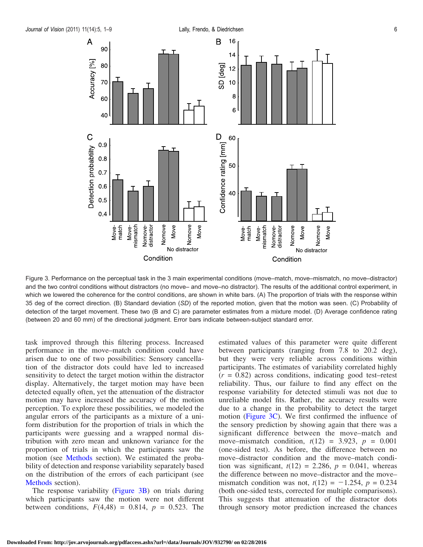<span id="page-5-0"></span>

Figure 3. Performance on the perceptual task in the 3 main experimental conditions (move–match, move–mismatch, no move–distractor) and the two control conditions without distractors (no move– and move–no distractor). The results of the additional control experiment, in which we lowered the coherence for the control conditions, are shown in white bars. (A) The proportion of trials with the response within 35 deg of the correct direction. (B) Standard deviation (SD) of the reported motion, given that the motion was seen. (C) Probability of detection of the target movement. These two (B and C) are parameter estimates from a mixture model. (D) Average confidence rating (between 20 and 60 mm) of the directional judgment. Error bars indicate between-subject standard error.

task improved through this filtering process. Increased performance in the move–match condition could have arisen due to one of two possibilities: Sensory cancellation of the distractor dots could have led to increased sensitivity to detect the target motion within the distractor display. Alternatively, the target motion may have been detected equally often, yet the attenuation of the distractor motion may have increased the accuracy of the motion perception. To explore these possibilities, we modeled the angular errors of the participants as a mixture of a uniform distribution for the proportion of trials in which the participants were guessing and a wrapped normal distribution with zero mean and unknown variance for the proportion of trials in which the participants saw the motion (see [Methods](#page-1-0) section). We estimated the probability of detection and response variability separately based on the distribution of the errors of each participant (see [Methods](#page-1-0) section).

The response variability (Figure 3B) on trials during which participants saw the motion were not different between conditions,  $F(4,48) = 0.814$ ,  $p = 0.523$ . The

estimated values of this parameter were quite different between participants (ranging from 7.8 to 20.2 deg), but they were very reliable across conditions within participants. The estimates of variability correlated highly  $(r = 0.82)$  across conditions, indicating good test–retest reliability. Thus, our failure to find any effect on the response variability for detected stimuli was not due to unreliable model fits. Rather, the accuracy results were due to a change in the probability to detect the target motion (Figure 3C). We first confirmed the influence of the sensory prediction by showing again that there was a significant difference between the move–match and move–mismatch condition,  $t(12) = 3.923$ ,  $p = 0.001$ (one-sided test). As before, the difference between no move–distractor condition and the move–match condition was significant,  $t(12) = 2.286$ ,  $p = 0.041$ , whereas the difference between no move–distractor and the move– mismatch condition was not,  $t(12) = -1.254$ ,  $p = 0.234$ (both one-sided tests, corrected for multiple comparisons). This suggests that attenuation of the distractor dots through sensory motor prediction increased the chances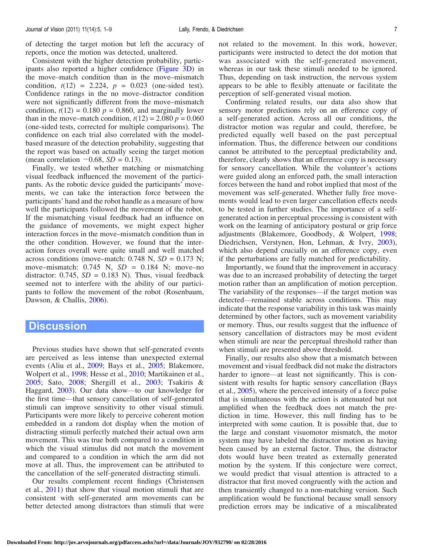of detecting the target motion but left the accuracy of reports, once the motion was detected, unaltered.

Consistent with the higher detection probability, participants also reported a higher confidence [\(Figure 3D\)](#page-5-0) in the move–match condition than in the move–mismatch condition,  $t(12) = 2.224$ ,  $p = 0.023$  (one-sided test). Confidence ratings in the no move–distractor condition were not significantly different from the move–mismatch condition,  $t(12) = 0.180$   $p = 0.860$ , and marginally lower than in the move–match condition,  $t(12) = 2.080 p = 0.060$ (one-sided tests, corrected for multiple comparisons). The confidence on each trial also correlated with the modelbased measure of the detection probability, suggesting that the report was based on actually seeing the target motion (mean correlation  $-0.68$ ,  $SD = 0.13$ ).

Finally, we tested whether matching or mismatching visual feedback influenced the movement of the participants. As the robotic device guided the participants' movements, we can take the interaction force between the participants' hand and the robot handle as a measure of how well the participants followed the movement of the robot. If the mismatching visual feedback had an influence on the guidance of movements, we might expect higher interaction forces in the move–mismatch condition than in the other condition. However, we found that the interaction forces overall were quite small and well matched across conditions (move–match:  $0.748$  N,  $SD = 0.173$  N; move–mismatch:  $0.745$  N,  $SD = 0.184$  N; move–no distractor: 0.745,  $SD = 0.183$  N). Thus, visual feedback seemed not to interfere with the ability of our participants to follow the movement of the robot (Rosenbaum, Dawson, & Challis, [2006\)](#page-8-0).

# **Discussion**

Previous studies have shown that self-generated events are perceived as less intense than unexpected external events (Aliu et al., [2009](#page-7-0); Bays et al., [2005](#page-7-0); Blakemore, Wolpert et al., [1998;](#page-7-0) Hesse et al., [2010;](#page-8-0) Martikainen et al., [2005](#page-8-0); Sato, [2008;](#page-8-0) Shergill et al., [2003](#page-8-0); Tsakiris & Haggard, [2003\)](#page-8-0). Our data show-to our knowledge for the first time—that sensory cancellation of self-generated stimuli can improve sensitivity to other visual stimuli. Participants were more likely to perceive coherent motion embedded in a random dot display when the motion of distracting stimuli perfectly matched their actual own arm movement. This was true both compared to a condition in which the visual stimulus did not match the movement and compared to a condition in which the arm did not move at all. Thus, the improvement can be attributed to the cancellation of the self-generated distracting stimuli.

Our results complement recent findings (Christensen et al., [2011\)](#page-7-0) that show that visual motion stimuli that are consistent with self-generated arm movements can be better detected among distractors than stimuli that were not related to the movement. In this work, however, participants were instructed to detect the dot motion that was associated with the self-generated movement, whereas in our task these stimuli needed to be ignored. Thus, depending on task instruction, the nervous system appears to be able to flexibly attenuate or facilitate the perception of self-generated visual motion.

Confirming related results, our data also show that sensory motor predictions rely on an efference copy of a self-generated action. Across all our conditions, the distractor motion was regular and could, therefore, be predicted equally well based on the past perceptual information. Thus, the difference between our conditions cannot be attributed to the perceptual predictability and, therefore, clearly shows that an efference copy is necessary for sensory cancellation. While the volunteer's actions were guided along an enforced path, the small interaction forces between the hand and robot implied that most of the movement was self-generated. Whether fully free movements would lead to even larger cancellation effects needs to be tested in further studies. The importance of a selfgenerated action in perceptual processing is consistent with work on the learning of anticipatory postural or grip force adjustments (Blakemore, Goodbody, & Wolpert, [1998;](#page-7-0) Diedrichsen, Verstynen, Hon, Lehman, & Ivry, [2003\)](#page-7-0), which also depend crucially on an efference copy, even if the perturbations are fully matched for predictability.

Importantly, we found that the improvement in accuracy was due to an increased probability of detecting the target motion rather than an amplification of motion perception. The variability of the responses—if the target motion was detected—remained stable across conditions. This may indicate that the response variability in this task was mainly determined by other factors, such as movement variability or memory. Thus, our results suggest that the influence of sensory cancellation of distractors may be most evident when stimuli are near the perceptual threshold rather than when stimuli are presented above threshold.

Finally, our results also show that a mismatch between movement and visual feedback did not make the distractors harder to ignore—at least not significantly. This is consistent with results for haptic sensory cancellation (Bays et al., [2005\)](#page-7-0), where the perceived intensity of a force pulse that is simultaneous with the action is attenuated but not amplified when the feedback does not match the prediction in time. However, this null finding has to be interpreted with some caution. It is possible that, due to the large and constant visuomotor mismatch, the motor system may have labeled the distractor motion as having been caused by an external factor. Thus, the distractor dots would have been treated as externally generated motion by the system. If this conjecture were correct, we would predict that visual attention is attracted to a distractor that first moved congruently with the action and then transiently changed to a non-matching version. Such amplification would be functional because small sensory prediction errors may be indicative of a miscalibrated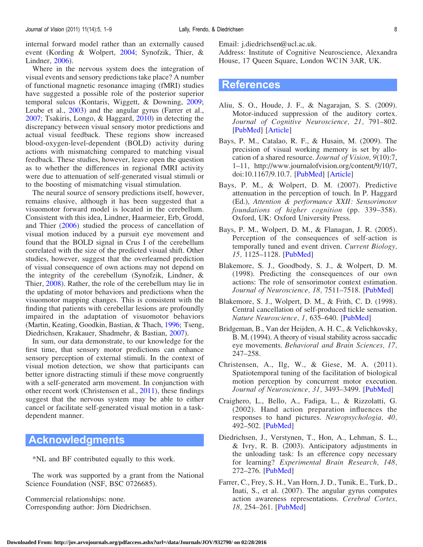<span id="page-7-0"></span>internal forward model rather than an externally caused event (Kording & Wolpert, [2004;](#page-8-0) Synofzik, Thier, & Lindner, [2006](#page-8-0)).

Where in the nervous system does the integration of visual events and sensory predictions take place? A number of functional magnetic resonance imaging (fMRI) studies have suggested a possible role of the posterior superior temporal sulcus (Kontaris, Wiggett, & Downing, [2009](#page-8-0); Leube et al., [2003](#page-8-0)) and the angular gyrus (Farrer et al., 2007; Tsakiris, Longo, & Haggard, [2010](#page-8-0)) in detecting the discrepancy between visual sensory motor predictions and actual visual feedback. These regions show increased blood-oxygen-level-dependent (BOLD) activity during actions with mismatching compared to matching visual feedback. These studies, however, leave open the question as to whether the differences in regional fMRI activity were due to attenuation of self-generated visual stimuli or to the boosting of mismatching visual stimulation.

The neural source of sensory predictions itself, however, remains elusive, although it has been suggested that a visuomotor forward model is located in the cerebellum. Consistent with this idea, Lindner, Haarmeier, Erb, Grodd, and Thier [\(2006](#page-8-0)) studied the process of cancellation of visual motion induced by a pursuit eye movement and found that the BOLD signal in Crus I of the cerebellum correlated with the size of the predicted visual shift. Other studies, however, suggest that the overlearned prediction of visual consequence of own actions may not depend on the integrity of the cerebellum (Synofzik, Lindner, & Thier, [2008\)](#page-8-0). Rather, the role of the cerebellum may lie in the updating of motor behaviors and predictions when the visuomotor mapping changes. This is consistent with the finding that patients with cerebellar lesions are profoundly impaired in the adaptation of visuomotor behaviors (Martin, Keating, Goodkin, Bastian, & Thach, [1996;](#page-8-0) Tseng, Diedrichsen, Krakauer, Shadmehr, & Bastian, [2007](#page-8-0)).

In sum, our data demonstrate, to our knowledge for the first time, that sensory motor predictions can enhance sensory perception of external stimuli. In the context of visual motion detection, we show that participants can better ignore distracting stimuli if these move congruently with a self-generated arm movement. In conjunction with other recent work (Christensen et al., 2011), these findings suggest that the nervous system may be able to either cancel or facilitate self-generated visual motion in a taskdependent manner.

# Acknowledgments

\*NL and BF contributed equally to this work.

The work was supported by a grant from the National Science Foundation (NSF, BSC 0726685).

Commercial relationships: none. Corresponding author: Jörn Diedrichsen. Email: j.diedrichsen@ucl.ac.uk.

Address: Institute of Cognitive Neuroscience, Alexandra House, 17 Queen Square, London WC1N 3AR, UK.

# References

- Aliu, S. O., Houde, J. F., & Nagarajan, S. S. (2009). Motor-induced suppression of the auditory cortex. Journal of Cognitive Neuroscience, 21, 791–802. [\[PubMed](http://www.ncbi.nlm.nih.gov/pubmed/18593265)] [\[Article\]](http://www.ncbi.nlm.nih.gov/pmc/articles/PMC2944400/)
- Bays, P. M., Catalao, R. F., & Husain, M. (2009). The precision of visual working memory is set by allocation of a shared resource. Journal of Vision, 9(10):7, 1–11, http://www.journalofvision.org/content/9/10/7, doi:10.1167/9.10.7. [[PubMed\]](http://www.ncbi.nlm.nih.gov/pubmed/19810788) [[Article](http://www.journalofvision.org/content/9/10/7)]
- Bays, P. M., & Wolpert, D. M. (2007). Predictive attenuation in the perception of touch. In P. Haggard (Ed.), Attention & performance XXII: Sensorimotor foundations of higher cognition (pp. 339–358). Oxford, UK: Oxford University Press.
- Bays, P. M., Wolpert, D. M., & Flanagan, J. R. (2005). Perception of the consequences of self-action is temporally tuned and event driven. Current Biology, 15, 1125–1128. [\[PubMed](http://www.ncbi.nlm.nih.gov/pubmed/15964278)]
- Blakemore, S. J., Goodbody, S. J., & Wolpert, D. M. (1998). Predicting the consequences of our own actions: The role of sensorimotor context estimation. Journal of Neuroscience, 18, 7511–7518. [\[PubMed](http://www.ncbi.nlm.nih.gov/pubmed/9736669)]
- Blakemore, S. J., Wolpert, D. M., & Frith, C. D. (1998). Central cancellation of self-produced tickle sensation. Nature Neuroscience, 1, 635-640. [[PubMed\]](http://www.ncbi.nlm.nih.gov/pubmed/10196573)
- Bridgeman, B., Van der Heijden, A. H. C., & Velichkovsky, B. M. (1994). A theory of visual stability across saccadic eye movements. Behavioral and Brain Sciences, 17, 247–258.
- Christensen, A., Ilg, W., & Giese, M. A. (2011). Spatiotemporal tuning of the facilitation of biological motion perception by concurrent motor execution. Journal of Neuroscience, 31, 3493–3499. [\[PubMed](http://www.ncbi.nlm.nih.gov/pubmed/21368061)]
- Craighero, L., Bello, A., Fadiga, L., & Rizzolatti, G. (2002). Hand action preparation influences the responses to hand pictures. Neuropsychologia, 40, 492–502. [[PubMed\]](http://www.ncbi.nlm.nih.gov/pubmed/11749979)
- Diedrichsen, J., Verstynen, T., Hon, A., Lehman, S. L., & Ivry, R. B. (2003). Anticipatory adjustments in the unloading task: Is an efference copy necessary for learning? Experimental Brain Research, 148, 272–276. [[PubMed\]](http://www.ncbi.nlm.nih.gov/pubmed/12520418)
- Farrer, C., Frey, S. H., Van Horn, J. D., Tunik, E., Turk, D., Inati, S., et al. (2007). The angular gyrus computes action awareness representations. Cerebral Cortex, 18, 254–261. [\[PubMed](http://www.ncbi.nlm.nih.gov/pubmed/17490989)]